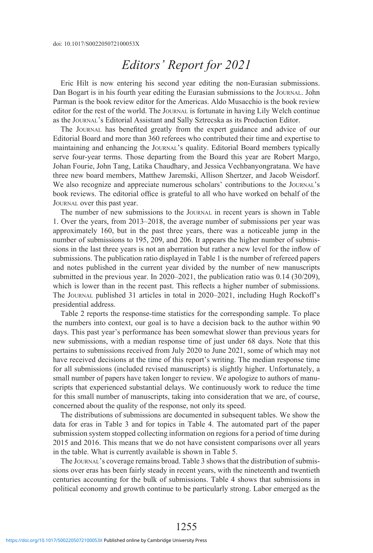# *Editors' Report for 2021*

Eric Hilt is now entering his second year editing the non-Eurasian submissions. Dan Bogart is in his fourth year editing the Eurasian submissions to the JOURNAL. John Parman is the book review editor for the Americas. Aldo Musacchio is the book review editor for the rest of the world. The Journal is fortunate in having Lily Welch continue as the Journal's Editorial Assistant and Sally Sztrecska as its Production Editor.

The Journal has benefited greatly from the expert guidance and advice of our Editorial Board and more than 360 referees who contributed their time and expertise to maintaining and enhancing the JOURNAL's quality. Editorial Board members typically serve four-year terms. Those departing from the Board this year are Robert Margo, Johan Fourie, John Tang, Latika Chaudhary, and Jessica Vechbanyongratana. We have three new board members, Matthew Jaremski, Allison Shertzer, and Jacob Weisdorf. We also recognize and appreciate numerous scholars' contributions to the Journal's book reviews. The editorial office is grateful to all who have worked on behalf of the Journal over this past year.

The number of new submissions to the JOURNAL in recent years is shown in Table 1. Over the years, from 2013–2018, the average number of submissions per year was approximately 160, but in the past three years, there was a noticeable jump in the number of submissions to 195, 209, and 206. It appears the higher number of submissions in the last three years is not an aberration but rather a new level for the inflow of submissions. The publication ratio displayed in Table 1 is the number of refereed papers and notes published in the current year divided by the number of new manuscripts submitted in the previous year. In 2020–2021, the publication ratio was 0.14 (30/209), which is lower than in the recent past. This reflects a higher number of submissions. The Journal published 31 articles in total in 2020–2021, including Hugh Rockoff's presidential address.

Table 2 reports the response-time statistics for the corresponding sample. To place the numbers into context, our goal is to have a decision back to the author within 90 days. This past year's performance has been somewhat slower than previous years for new submissions, with a median response time of just under 68 days. Note that this pertains to submissions received from July 2020 to June 2021, some of which may not have received decisions at the time of this report's writing. The median response time for all submissions (included revised manuscripts) is slightly higher. Unfortunately, a small number of papers have taken longer to review. We apologize to authors of manuscripts that experienced substantial delays. We continuously work to reduce the time for this small number of manuscripts, taking into consideration that we are, of course, concerned about the quality of the response, not only its speed.

The distributions of submissions are documented in subsequent tables. We show the data for eras in Table 3 and for topics in Table 4. The automated part of the paper submission system stopped collecting information on regions for a period of time during 2015 and 2016. This means that we do not have consistent comparisons over all years in the table. What is currently available is shown in Table 5.

The Journal's coverage remains broad. Table 3 shows that the distribution of submissions over eras has been fairly steady in recent years, with the nineteenth and twentieth centuries accounting for the bulk of submissions. Table 4 shows that submissions in political economy and growth continue to be particularly strong. Labor emerged as the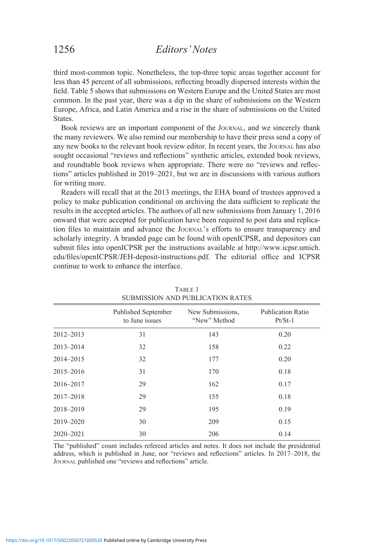third most-common topic. Nonetheless, the top-three topic areas together account for less than 45 percent of all submissions, reflecting broadly dispersed interests within the field. Table 5 shows that submissions on Western Europe and the United States are most common. In the past year, there was a dip in the share of submissions on the Western Europe, Africa, and Latin America and a rise in the share of submissions on the United **States**.

Book reviews are an important component of the Journal, and we sincerely thank the many reviewers. We also remind our membership to have their press send a copy of any new books to the relevant book review editor. In recent years, the JOURNAL has also sought occasional "reviews and reflections" synthetic articles, extended book reviews, and roundtable book reviews when appropriate. There were no "reviews and reflections" articles published in 2019–2021, but we are in discussions with various authors for writing more.

Readers will recall that at the 2013 meetings, the EHA board of trustees approved a policy to make publication conditional on archiving the data sufficient to replicate the results in the accepted articles. The authors of all new submissions from January 1, 2016 onward that were accepted for publication have been required to post data and replication files to maintain and advance the Journal's efforts to ensure transparency and scholarly integrity. A branded page can be found with openICPSR, and depositors can submit files into openICPSR per the instructions available at http://www.icpsr.umich. edu/files/openICPSR/JEH-deposit-instructions.pdf. The editorial office and ICPSR continue to work to enhance the interface.

|               | <b>Published September</b><br>to June issues | New Submissions,<br>"New" Method | <b>Publication Ratio</b><br>$Pt/St-1$ |
|---------------|----------------------------------------------|----------------------------------|---------------------------------------|
| $2012 - 2013$ | 31                                           | 143                              | 0.20                                  |
| 2013-2014     | 32                                           | 158                              | 0.22                                  |
| 2014-2015     | 32                                           | 177                              | 0.20                                  |
| $2015 - 2016$ | 31                                           | 170                              | 0.18                                  |
| 2016-2017     | 29                                           | 162                              | 0.17                                  |
| $2017 - 2018$ | 29                                           | 155                              | 0.18                                  |
| 2018-2019     | 29                                           | 195                              | 0.19                                  |
| 2019-2020     | 30                                           | 209                              | 0.15                                  |
| $2020 - 2021$ | 30                                           | 206                              | 0.14                                  |

TABLE 1 SUBMISSION AND PUBLICATION RATES

The "published" count includes refereed articles and notes. It does not include the presidential address, which is published in June, nor "reviews and reflections" articles. In 2017–2018, the Journal published one "reviews and reflections" article.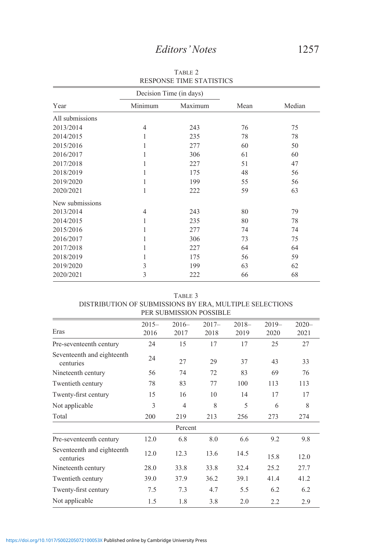|                 |         | Decision Time (in days) |      |        |  |
|-----------------|---------|-------------------------|------|--------|--|
| Year            | Minimum | Maximum                 | Mean | Median |  |
| All submissions |         |                         |      |        |  |
| 2013/2014       | 4       | 243                     | 76   | 75     |  |
| 2014/2015       |         | 235                     | 78   | 78     |  |
| 2015/2016       |         | 277                     | 60   | 50     |  |
| 2016/2017       | 1       | 306                     | 61   | 60     |  |
| 2017/2018       |         | 227                     | 51   | 47     |  |
| 2018/2019       |         | 175                     | 48   | 56     |  |
| 2019/2020       |         | 199                     | 55   | 56     |  |
| 2020/2021       | 1       | 222                     | 59   | 63     |  |
| New submissions |         |                         |      |        |  |
| 2013/2014       | 4       | 243                     | 80   | 79     |  |
| 2014/2015       | 1       | 235                     | 80   | 78     |  |
| 2015/2016       |         | 277                     | 74   | 74     |  |
| 2016/2017       |         | 306                     | 73   | 75     |  |
| 2017/2018       |         | 227                     | 64   | 64     |  |
| 2018/2019       |         | 175                     | 56   | 59     |  |
| 2019/2020       | 3       | 199                     | 63   | 62     |  |
| 2020/2021       | 3       | 222                     | 66   | 68     |  |

TABLE 2 RESPONSE TIME STATISTICS

| DISTRIBUTION OF SUBMISSIONS BT ENA, MULTIFLE SELECTIONS |                  |                 | PER SUBMISSION POSSIBLE |                 |                 |                  |
|---------------------------------------------------------|------------------|-----------------|-------------------------|-----------------|-----------------|------------------|
| Eras                                                    | $2015 -$<br>2016 | $2016-$<br>2017 | $2017 -$<br>2018        | $2018-$<br>2019 | $2019-$<br>2020 | $2020 -$<br>2021 |
| Pre-seventeenth century                                 | 24               | 15              | 17                      | 17              | 25              | 27               |
| Seventeenth and eighteenth<br>centuries                 | 24               | 27              | 29                      | 37              | 43              | 33               |
| Nineteenth century                                      | 56               | 74              | 72                      | 83              | 69              | 76               |
| Twentieth century                                       | 78               | 83              | 77                      | 100             | 113             | 113              |
| Twenty-first century                                    | 15               | 16              | 10                      | 14              | 17              | 17               |
| Not applicable                                          | 3                | $\overline{4}$  | 8                       | 5               | 6               | 8                |
| Total                                                   | 200              | 219             | 213                     | 256             | 273             | 274              |
|                                                         |                  | Percent         |                         |                 |                 |                  |
| Pre-seventeenth century                                 | 12.0             | 6.8             | 8.0                     | 6.6             | 9.2             | 9.8              |
| Seventeenth and eighteenth<br>centuries                 | 12.0             | 12.3            | 13.6                    | 14.5            | 15.8            | 12.0             |
| Nineteenth century                                      | 28.0             | 33.8            | 33.8                    | 32.4            | 25.2            | 27.7             |
| Twentieth century                                       | 39.0             | 37.9            | 36.2                    | 39.1            | 41.4            | 41.2             |
| Twenty-first century                                    | 7.5              | 7.3             | 4.7                     | 5.5             | 6.2             | 6.2              |
| Not applicable                                          | 1.5              | 1.8             | 3.8                     | 2.0             | 2.2             | 2.9              |

TABLE 3 DISTRIBUTION OF SUBMISSIONS BY ERA, MULTIPLE SELECTIONS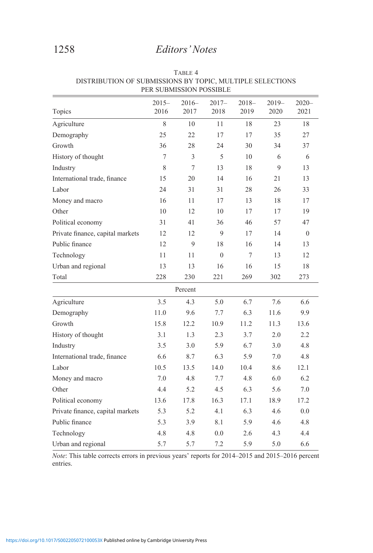| Topics                           | $2015 -$<br>2016 | $2016-$<br>2017 | $2017 -$<br>2018 | $2018 -$<br>2019 | $2019-$<br>2020 | $2020 -$<br>2021 |
|----------------------------------|------------------|-----------------|------------------|------------------|-----------------|------------------|
| Agriculture                      | 8                | 10              | 11               | 18               | 23              | 18               |
| Demography                       | 25               | 22              | 17               | 17               | 35              | 27               |
| Growth                           | 36               | 28              | 24               | 30               | 34              | 37               |
| History of thought               | 7                | 3               | 5                | 10               | 6               | 6                |
| Industry                         | 8                | 7               | 13               | 18               | 9               | 13               |
| International trade, finance     | 15               | 20              | 14               | 16               | 21              | 13               |
| Labor                            | 24               | 31              | 31               | 28               | 26              | 33               |
| Money and macro                  | 16               | 11              | 17               | 13               | 18              | 17               |
| Other                            | 10               | 12              | 10               | 17               | 17              | 19               |
| Political economy                | 31               | 41              | 36               | 46               | 57              | 47               |
| Private finance, capital markets | 12               | 12              | $\mathbf{Q}$     | 17               | 14              | $\theta$         |
| Public finance                   | 12               | $\overline{9}$  | 18               | 16               | 14              | 13               |
| Technology                       | 11               | 11              | $\mathbf{0}$     | 7                | 13              | 12               |
| Urban and regional               | 13               | 13              | 16               | 16               | 15              | 18               |
| Total                            | 228              | 230             | 221              | 269              | 302             | 273              |
|                                  |                  | Percent         |                  |                  |                 |                  |
| Agriculture                      | 3.5              | 4.3             | 5.0              | 6.7              | 7.6             | 6.6              |
| Demography                       | 11.0             | 9.6             | 7.7              | 6.3              | 11.6            | 9.9              |
| Growth                           | 15.8             | 12.2            | 10.9             | 11.2             | 11.3            | 13.6             |
| History of thought               | 3.1              | 1.3             | 2.3              | 3.7              | 2.0             | 2.2              |
| Industry                         | 3.5              | 3.0             | 5.9              | 6.7              | 3.0             | 4.8              |
| International trade, finance     | 6.6              | 8.7             | 6.3              | 5.9              | 7.0             | 4.8              |
| Labor                            | 10.5             | 13.5            | 14.0             | 10.4             | 8.6             | 12.1             |
| Money and macro                  | 7.0              | 4.8             | 7.7              | 4.8              | 6.0             | 6.2              |
| Other                            | 4.4              | 5.2             | 4.5              | 6.3              | 5.6             | $7.0\,$          |
| Political economy                | 13.6             | 17.8            | 16.3             | 17.1             | 18.9            | 17.2             |
| Private finance, capital markets | 5.3              | 5.2             | 4.1              | 6.3              | 4.6             | 0.0              |
| Public finance                   | 5.3              | 3.9             | 8.1              | 5.9              | 4.6             | 4.8              |
| Technology                       | 4.8              | 4.8             | 0.0              | 2.6              | 4.3             | 4.4              |
| Urban and regional               | 5.7              | 5.7             | 7.2              | 5.9              | 5.0             | 6.6              |

TABLE 4 DISTRIBUTION OF SUBMISSIONS BY TOPIC, MULTIPLE SELECTIONS PER SUBMISSION POSSIBLE

*Note*: This table corrects errors in previous years' reports for 2014–2015 and 2015–2016 percent entries.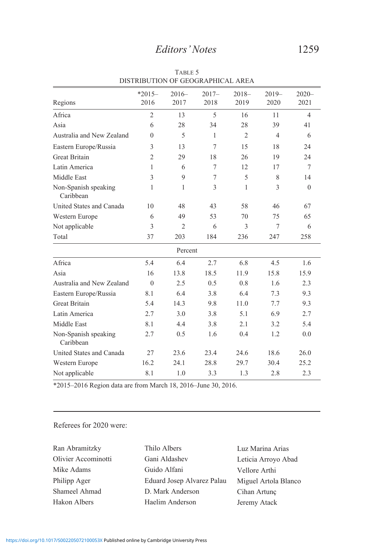|                                   | $*2015-$       | $2016-$        | $2017 -$     | $2018-$        | $2019-$        | $2020 -$       |
|-----------------------------------|----------------|----------------|--------------|----------------|----------------|----------------|
| Regions                           | 2016           | 2017           | 2018         | 2019           | 2020           | 2021           |
| Africa                            | $\overline{2}$ | 13             | 5            | 16             | 11             | $\overline{4}$ |
| Asia                              | 6              | 28             | 34           | 28             | 39             | 41             |
| Australia and New Zealand         | $\Omega$       | 5              | $\mathbf{1}$ | $\overline{2}$ | $\overline{4}$ | 6              |
| Eastern Europe/Russia             | 3              | 13             | 7            | 15             | 18             | 24             |
| <b>Great Britain</b>              | $\overline{2}$ | 29             | 18           | 26             | 19             | 24             |
| Latin America                     | 1              | 6              | 7            | 12             | 17             | 7              |
| Middle East                       | 3              | 9              | $\tau$       | 5              | 8              | 14             |
| Non-Spanish speaking<br>Caribbean | 1              | 1              | 3            | 1              | 3              | $\theta$       |
| United States and Canada          | 10             | 48             | 43           | 58             | 46             | 67             |
| Western Europe                    | 6              | 49             | 53           | 70             | 75             | 65             |
| Not applicable                    | 3              | $\overline{2}$ | 6            | 3              | 7              | 6              |
| Total                             | 37             | 203            | 184          | 236            | 247            | 258            |
|                                   |                | Percent        |              |                |                |                |
| Africa                            | 5.4            | 6.4            | 2.7          | 6.8            | 4.5            | 1.6            |
| Asia                              | 16             | 13.8           | 18.5         | 11.9           | 15.8           | 15.9           |
| Australia and New Zealand         | $\Omega$       | 2.5            | 0.5          | 0.8            | 1.6            | 2.3            |
| Eastern Europe/Russia             | 8.1            | 6.4            | 3.8          | 6.4            | 7.3            | 9.3            |
| <b>Great Britain</b>              | 5.4            | 14.3           | 9.8          | 11.0           | 7.7            | 9.3            |
| Latin America                     | 2.7            | 3.0            | 3.8          | 5.1            | 6.9            | 2.7            |
| Middle East                       | 8.1            | 4.4            | 3.8          | 2.1            | 3.2            | 5.4            |
| Non-Spanish speaking<br>Caribbean | 2.7            | 0.5            | 1.6          | 0.4            | 1.2            | 0.0            |
| United States and Canada          | 27             | 23.6           | 23.4         | 24.6           | 18.6           | 26.0           |
| Western Europe                    | 16.2           | 24.1           | 28.8         | 29.7           | 30.4           | 25.2           |
| Not applicable                    | 8.1            | 1.0            | 3.3          | 1.3            | 2.8            | 2.3            |

Table 5 DISTRIBUTION OF GEOGRAPHICAL AREA

\*2015–2016 Region data are from March 18, 2016–June 30, 2016.

### Referees for 2020 were:

| Ran Abramitzky      |  |
|---------------------|--|
| Olivier Accominotti |  |
| Mike Adams          |  |
| Philipp Ager        |  |
| Shameel Ahmad       |  |
| Hakon Albers        |  |

Thilo Albers Gani Aldashev Guido Alfani Eduard Josep Alvarez Palau D. Mark Anderson Haelim Anderson

Luz Marina Arias Leticia Arroyo Abad Vellore Arthi Miguel Artola Blanco Cihan Artunç Jeremy Atack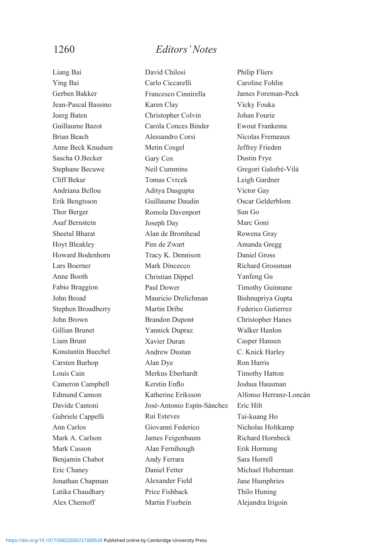Liang Bai Ying Bai Gerben Bakker Jean-Pascal Bassino Joerg Baten Guillaume Bazot Brian Beach Anne Beck Knudsen Sascha O.Becker Stephane Becuwe Cliff Bekar Andriana Bellou Erik Bengtsson Thor Berger Asaf Bernstein Sheetal Bharat Hoyt Bleakley Howard Bodenhorn Lars Boerner Anne Booth Fabio Braggion John Broad Stephen Broadberry John Brown Gillian Brunet Liam Brunt Konstantin Buechel Carsten Burhop Louis Cain Cameron Campbell Edmund Cannon Davide Cantoni Gabriele Cappelli Ann Carlos Mark A. Carlson Mark Casson Benjamin Chabot Eric Chaney Jonathan Chapman Latika Chaudhary Alex Chernoff

David Chilosi Carlo Ciccarelli Francesco Cinnirella Karen Clay Christopher Colvin Carola Conces Binder Alessandro Corsi Metin Cosgel Gary Cox Neil Cummins Tomas Cvrcek Aditya Dasgupta Guillaume Daudin Romola Davenport Joseph Day Alan de Bromhead Pim de Zwart Tracy K. Dennison Mark Dincecco Christian Dippel Paul Dower Mauricio Drelichman Martin Dribe Brandon Dupont Yannick Dupraz Xavier Duran Andrew Dustan Alan Dye Merkus Eberhardt Kerstin Enflo Katherine Eriksson José-Antonio Espín-Sánchez Rui Esteves Giovanni Federico James Feigenbaum Alan Fernihough Andy Ferrara Daniel Fetter Alexander Field Price Fishback Martin Fiszbein

Philip Fliers Caroline Fohlin James Foreman-Peck Vicky Fouka Johan Fourie Ewout Frankema Nicolas Fremeaux Jeffrey Frieden Dustin Frye Gregori Galofré-Vilà Leigh Gardner Victor Gay Oscar Gelderblom Sun Go Marc Goni Rowena Gray Amanda Gregg Daniel Gross Richard Grossman Yanfeng Gu Timothy Guinnane Bishnupriya Gupta Federico Gutierrez Christopher Hanes Walker Hanlon Casper Hansen C. Knick Harley Ron Harris Timothy Hatton Joshua Hausman Alfonso Herranz-Loncán Eric Hilt Tai-kuang Ho Nicholas Holtkamp Richard Hornbeck Erik Hornung Sara Horrell Michael Huberman Jane Humphries Thilo Huning Alejandra Irigoin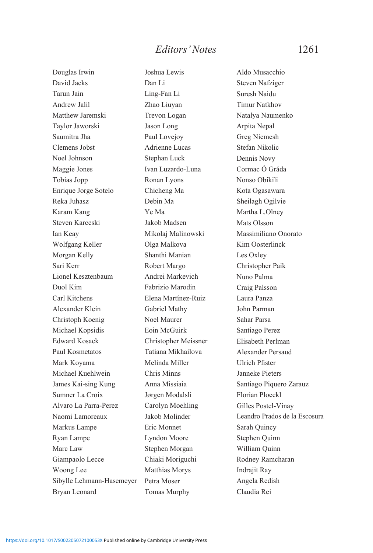Douglas Irwin David Jacks Tarun Jain Andrew Jalil Matthew Jaremski Taylor Jaworski Saumitra Jha Clemens Jobst Noel Johnson Maggie Jones Tobias Jopp Enrique Jorge Sotelo Reka Juhasz Karam Kang Steven Karceski Ian Keay Wolfgang Keller Morgan Kelly Sari Kerr Lionel Kesztenbaum Duol Kim Carl Kitchens Alexander Klein Christoph Koenig Michael Kopsidis Edward Kosack Paul Kosmetatos Mark Koyama Michael Kuehlwein James Kai-sing Kung Sumner La Croix Alvaro La Parra-Perez Naomi Lamoreaux Markus Lampe Ryan Lampe Marc Law Giampaolo Lecce Woong Lee Sibylle Lehmann-Hasemeyer Bryan Leonard

Joshua Lewis Dan Li Ling-Fan Li Zhao Liuyan Trevon Logan Jason Long Paul Lovejoy Adrienne Lucas Stephan Luck Ivan Luzardo-Luna Ronan Lyons Chicheng Ma Debin Ma Ye Ma Jakob Madsen Mikołaj Malinowski Olga Malkova Shanthi Manian Robert Margo Andrei Markevich Fabrizio Marodin Elena Martínez-Ruiz Gabriel Mathy Noel Maurer Eoin McGuirk Christopher Meissner Tatiana Mikhailova Melinda Miller Chris Minns Anna Missiaia Jørgen Modalsli Carolyn Moehling Jakob Molinder Eric Monnet Lyndon Moore Stephen Morgan Chiaki Moriguchi Matthias Morys Petra Moser Tomas Murphy

Aldo Musacchio Steven Nafziger Suresh Naidu Timur Natkhov Natalya Naumenko Arpita Nepal Greg Niemesh Stefan Nikolic Dennis Novy Cormac Ó Gráda Nonso Obikili Kota Ogasawara Sheilagh Ogilvie Martha L.Olney Mats Olsson Massimiliano Onorato Kim Oosterlinck Les Oxley Christopher Paik Nuno Palma Craig Palsson Laura Panza John Parman Sahar Parsa Santiago Perez Elisabeth Perlman Alexander Persaud Ulrich Pfister Janneke Pieters Santiago Piquero Zarauz Florian Ploeckl Gilles Postel-Vinay Leandro Prados de la Escosura Sarah Quincy Stephen Quinn William Quinn Rodney Ramcharan Indrajit Ray Angela Redish Claudia Rei